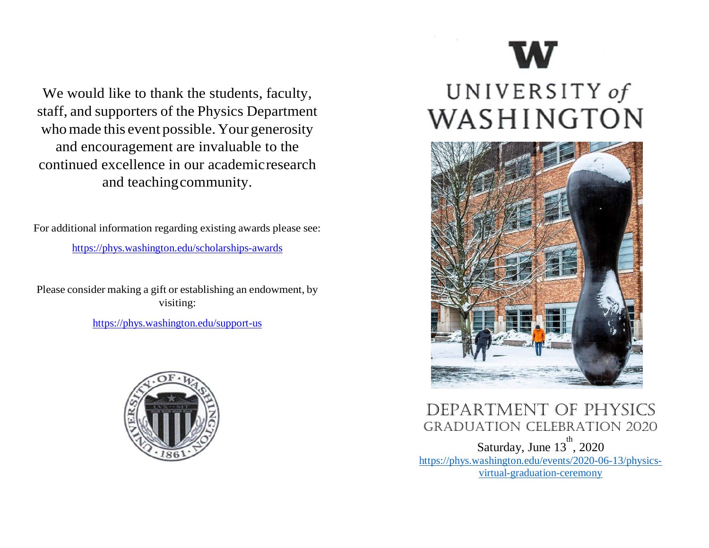We would like to thank the students, faculty, staff, and supporters of the Physics Department whomade this event possible. Your generosity and encouragement are invaluable to the continued excellence in our academicresearch and teachingcommunity.

For additional information regarding existing awards please see:

<https://phys.washington.edu/scholarships-awards>

Please consider making a gift or establishing an endowment, by visiting:

<https://phys.washington.edu/support-us>



# UNIVERSITY of WASHINGTON



Department of physics GraDuation celebration 2020 Saturday, June  $13^{\text{th}}$ , 2020 https://phys.washington.edu/events/2020-06-13/physicsvirtual-graduation-ceremony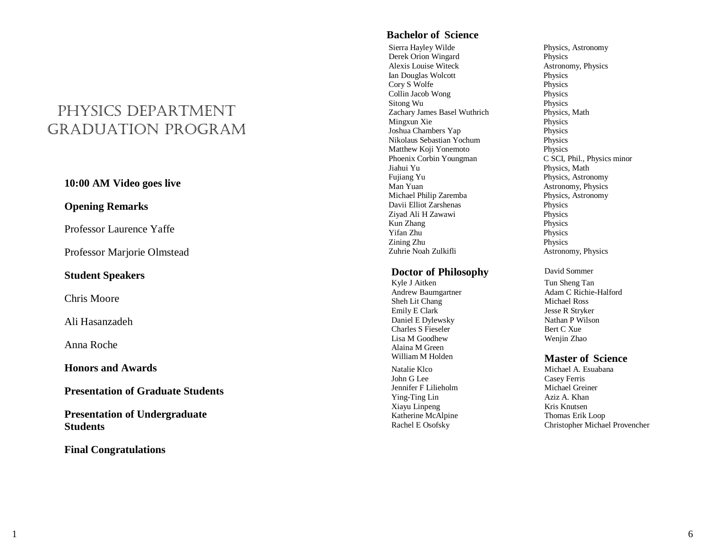### physics Department GraDuation pro gram

#### **10:00 AM Video goes live**

#### **Opening Remarks**

Professor La urence Yaffe

Professor Marjorie Olmstead

#### **Student Speakers**

Chris Moore

Ali Hasanzadeh

Anna Roche

**Honors and Awards**

**Presentation of Graduate Students**

**Presentation of Undergraduate Students**

**Final Congratulations**

#### **Bachelor of Science**

Sierra Hayley Wilde Physics, Astronomy Derek Orion Wingard Physics Alexis Louise Witeck Astronomy, Physics Ian Douglas Wolcott Cory S Wolfe Physics Collin Jacob Wong Physics Sitong Wu Physics Zachary James Basel Wuthrich Physics, Math Mingxun Xie Physics<br>
Joshua Chambers Yap Physics<br>
Physics Joshua Chambers Yap Nikolaus Sebastian Yochum Physics Matthew Koji Yonemoto<br>
Phoenix Corbin Youngman<br>
C SCI, Phil., Physics minor Phoenix Corbin Youngman<br>Jiahui Yu Fujiang Yu Physics, Astronomy Man Yuan <br>Michael Philip Zaremba<br>Physics, Astronomy Michael Philip Zaremba<br>
Physics, Davii Elliot Zarshenas<br>
Physics Davii Elliot Zarshenas Physics Ziyad Ali H Zawawi Physics Kun Zhang Physics Yifan Zhu Physics Zining Zhu Physics

#### **Doctor of Philosophy** David Sommer

Kyle J Aitken Andrew Baumgartner Sheh Lit Chang Michael Ross Emily E Clark Jesse R Stryker Daniel E Dylewsky Nathan P Wilson Charles S Fieseler Bert C Xue Lisa M Goodhew Wenjin Zhao Alaina M Green Natalie Klco Michael A. Esuabana John G Lee Casey Ferris<br>
Jennifer F Lilieholm Michael Greiner Jennifer F Lilieholm Ying-Ting Lin Xiayu Linpeng Kris Knutsen Katherine McAlpine Thomas Erik Loop

Physics, Math Astronomy, Physics

Tun Sheng Tan Adam C Richie-Halford

#### William M Holden **Master of Science**

Aziz A. Khan Rachel E Osofsky Christopher Michael Provencher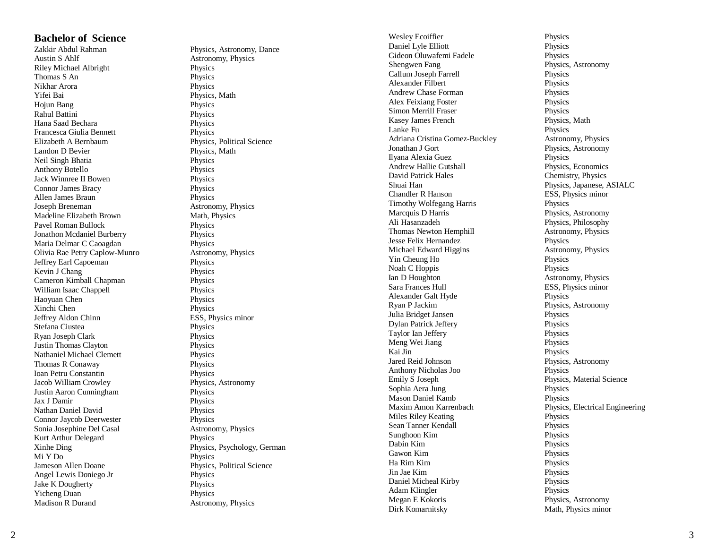## **Bachelor of Science**

**Austin S Ahlf** Riley Michael Albright Physics Thomas S An Physics Nikhar Arora Physics Yifei Bai **Physics, Math**<br>Hojun Bang **Physics** Physics Hojun Bang Rahul Battini Physics Hana Saad Bechara Physics Francesca Giulia Bennett Physics Elizabeth A Bernbaum Physics, Political Science Landon D Bevier Physics, Math Neil Singh Bhatia Physics Anthony Botello Physics Jack Winnree II Bowen Physics Connor James Bracy Physics Allen James Braun Physics Joseph Breneman Astronomy, Physics Madeline Elizabeth Brown Pavel Roman Bullock Physics Jonathon Mcdaniel Burberry Physics Maria Delmar C Caoagdan Physics Olivia Rae Petry Caplow Jeffrey Earl Capoeman Physics Kevin J Chang Physics<br>
Cameron Kimball Chapman Physics<br>
Physics Cameron Kimball Chapman William Isaac Chappell Physics Haoyuan Chen Physics Xinchi Chen Physics Jeffrey Aldon Chinn ESS, Physics minor Stefana Ciustea **Physics**<br>
Ryan Joseph Clark<br>
Physics<br>
Physics Ryan Joseph Clark Justin Thomas Clayton Physics Nathaniel Michael Clemett Physics Thomas R Conaway Physics Ioan Petru Constantin Physics Jacob William Crowley Physics, Astronomy Justin Aaron Cunningham Physics Jax J Damir Nathan Daniel David Physics Connor Jaycob Deerwester Physics Sonia Josephine Del Casal Astronomy, Physics Kurt Arthur Delegard Physics Mi Y Do Physics Jameson Allen Doane Physics, Political Science Angel Lewis Doniego Jr Physics Jake K Dougherty Physics Yicheng Duan Physics **Madison R Durand** 

Physics, Astronomy, Dance Astronomy, Physics Math, Physics Astronomy, Physics Physics Xinhe Ding Physics, Psychology, German Astronomy, Physics

Wesley Ecoiffier Physics Daniel Lyle Elliott Physics Gideon Oluwafemi Fadele Physics Shengwen Fang Physics, Astronomy<br>
Callum Joseph Farrell<br>
Physics Callum Joseph Farrell Alexander Filbert Physics Andrew Chase Forman Physics Alex Feixiang Foster Physics<br>
Simon Merrill Fraser Physics<br>
Physics Simon Merrill Fraser Kasey James French Physics, Math Lanke Fu Physics Adriana Cristina Gomez Jonathan J Gort Ilyana Alexia Guez Physics Andrew Hallie Gutshall Physics, Economics David Patrick Hales Chemistry, Physics Shuai Han Physics, Japanese, ASIALC Chandler R Hanson ESS, Physics minor Timothy Wolfegang Harris Physics Marcquis D Harris **Physics**, Astronomy<br>
Ali Hasanzadeh **Physics**, Philosophy Thomas Newton Hemphill Astronomy, Physics Jesse Felix Hernandez<br>
Michael Edward Higgins<br>
Astronomy, Physics Michael Edward Higgins Astronomy Astronomy, Physics Astronomy, Physics Astronomy, Physics Astronomy, Physics Astronomy, Physics Astronomy, Physics Astronomy, Physics Astronomy, Physics Astronomy, Physics Astronomy, Physics Yin Cheung Ho Noah C Hoppis Physics Ian D Houghton **Astronomy**, Physics Sara Frances Hull ESS, Physics minor Alexander Galt Hyde Physics Ryan P Jackim Physics, Astronomy Julia Bridget Jansen Physics Dylan Patrick Jeffery Physics Taylor Ian Jeffery Physics Meng Wei Jiang Physics<br>
Kai Jin Physics<br>
Physics Jared Reid Johnson Physics, Astronomy Anthony Nicholas Joo Physics Emily S Joseph Physics, Material Science Sophia Aera Jung Mason Daniel Kamb Physics Miles Riley Keating Physics Sean Tanner Kendall Physics Sunghoon Kim Physics Dabin Kim Physics Gawon Kim Physics Ha Rim Kim Physics Jin Jae Kim Physics Daniel Micheal Kirby Physics Adam Klingler Physics Megan E Kokoris Dirk Komarnitsky Math, Physics minor

Astronomy, Physics Physics, Astronomy Physics, Philosophy Physics Maxim Amon Karrenbach Physics, Electrical Engineering Physics, Astronomy